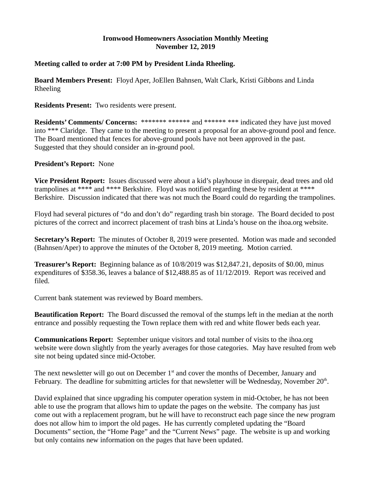### **Ironwood Homeowners Association Monthly Meeting November 12, 2019**

### **Meeting called to order at 7:00 PM by President Linda Rheeling.**

**Board Members Present:** Floyd Aper, JoEllen Bahnsen, Walt Clark, Kristi Gibbons and Linda Rheeling

**Residents Present:** Two residents were present.

**Residents' Comments/ Concerns:** \*\*\*\*\*\*\* \*\*\*\*\*\* and \*\*\*\*\*\* \*\*\* indicated they have just moved into \*\*\* Claridge. They came to the meeting to present a proposal for an above-ground pool and fence. The Board mentioned that fences for above-ground pools have not been approved in the past. Suggested that they should consider an in-ground pool.

#### **President's Report:** None

**Vice President Report:** Issues discussed were about a kid's playhouse in disrepair, dead trees and old trampolines at \*\*\*\* and \*\*\*\* Berkshire. Floyd was notified regarding these by resident at \*\*\*\* Berkshire. Discussion indicated that there was not much the Board could do regarding the trampolines.

Floyd had several pictures of "do and don't do" regarding trash bin storage. The Board decided to post pictures of the correct and incorrect placement of trash bins at Linda's house on the ihoa.org website.

**Secretary's Report:** The minutes of October 8, 2019 were presented. Motion was made and seconded (Bahnsen/Aper) to approve the minutes of the October 8, 2019 meeting. Motion carried.

**Treasurer's Report:** Beginning balance as of 10/8/2019 was \$12,847.21, deposits of \$0.00, minus expenditures of \$358.36, leaves a balance of \$12,488.85 as of 11/12/2019. Report was received and filed.

Current bank statement was reviewed by Board members.

**Beautification Report:** The Board discussed the removal of the stumps left in the median at the north entrance and possibly requesting the Town replace them with red and white flower beds each year.

**Communications Report:** September unique visitors and total number of visits to the ihoa.org website were down slightly from the yearly averages for those categories. May have resulted from web site not being updated since mid-October.

The next newsletter will go out on December  $1<sup>st</sup>$  and cover the months of December, January and February. The deadline for submitting articles for that newsletter will be Wednesday, November 20<sup>th</sup>.

David explained that since upgrading his computer operation system in mid-October, he has not been able to use the program that allows him to update the pages on the website. The company has just come out with a replacement program, but he will have to reconstruct each page since the new program does not allow him to import the old pages. He has currently completed updating the "Board Documents" section, the "Home Page" and the "Current News" page. The website is up and working but only contains new information on the pages that have been updated.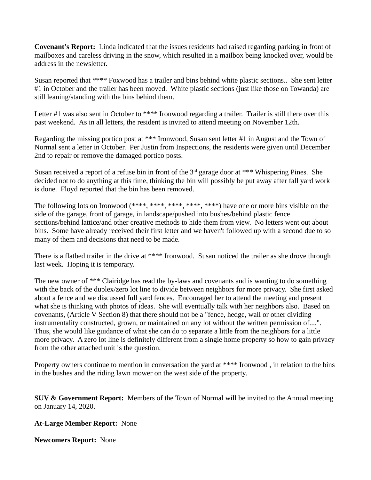**Covenant's Report:** Linda indicated that the issues residents had raised regarding parking in front of mailboxes and careless driving in the snow, which resulted in a mailbox being knocked over, would be address in the newsletter.

Susan reported that \*\*\*\* Foxwood has a trailer and bins behind white plastic sections.. She sent letter #1 in October and the trailer has been moved. White plastic sections (just like those on Towanda) are still leaning/standing with the bins behind them.

Letter #1 was also sent in October to \*\*\*\* Ironwood regarding a trailer. Trailer is still there over this past weekend. As in all letters, the resident is invited to attend meeting on November 12th.

Regarding the missing portico post at \*\*\* Ironwood, Susan sent letter #1 in August and the Town of Normal sent a letter in October. Per Justin from Inspections, the residents were given until December 2nd to repair or remove the damaged portico posts.

Susan received a report of a refuse bin in front of the  $3<sup>rd</sup>$  garage door at \*\*\* Whispering Pines. She decided not to do anything at this time, thinking the bin will possibly be put away after fall yard work is done. Floyd reported that the bin has been removed.

The following lots on Ironwood (\*\*\*\*, \*\*\*\*, \*\*\*\*, \*\*\*\*, \*\*\*\*) have one or more bins visible on the side of the garage, front of garage, in landscape/pushed into bushes/behind plastic fence sections/behind lattice/and other creative methods to hide them from view. No letters went out about bins. Some have already received their first letter and we haven't followed up with a second due to so many of them and decisions that need to be made.

There is a flatbed trailer in the drive at \*\*\*\* Ironwood. Susan noticed the trailer as she drove through last week. Hoping it is temporary.

The new owner of \*\*\* Clairidge has read the by-laws and covenants and is wanting to do something with the back of the duplex/zero lot line to divide between neighbors for more privacy. She first asked about a fence and we discussed full yard fences. Encouraged her to attend the meeting and present what she is thinking with photos of ideas. She will eventually talk with her neighbors also. Based on covenants, (Article V Section 8) that there should not be a "fence, hedge, wall or other dividing instrumentality constructed, grown, or maintained on any lot without the written permission of....". Thus, she would like guidance of what she can do to separate a little from the neighbors for a little more privacy. A zero lot line is definitely different from a single home property so how to gain privacy from the other attached unit is the question.

Property owners continue to mention in conversation the yard at \*\*\*\* Ironwood, in relation to the bins in the bushes and the riding lawn mower on the west side of the property.

**SUV & Government Report:** Members of the Town of Normal will be invited to the Annual meeting on January 14, 2020.

# **At-Large Member Report:** None

**Newcomers Report:** None